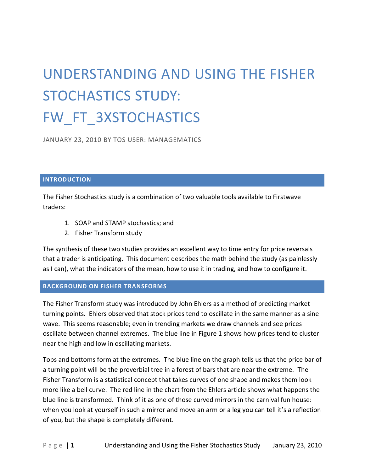# UNDERSTANDING AND USING THE FISHER STOCHASTICS STUDY: FW\_FT\_3XSTOCHASTICS

JANUARY 23, 2010 BY TOS USER: MANAGEMATICS

## **INTRODUCTION**

The Fisher Stochastics study is a combination of two valuable tools available to Firstwave traders:

- 1. SOAP and STAMP stochastics; and
- 2. Fisher Transform study

The synthesis of these two studies provides an excellent way to time entry for price reversals that a trader is anticipating. This document describes the math behind the study (as painlessly as I can), what the indicators of the mean, how to use it in trading, and how to configure it.

# **BACKGROUND ON FISHER TRANSFORMS**

The Fisher Transform study was introduced by John Ehlers as a method of predicting market turning points. Ehlers observed that stock prices tend to oscillate in the same manner as a sine wave. This seems reasonable; even in trending markets we draw channels and see prices oscillate between channel extremes. The blue line in Figure 1 shows how prices tend to cluster near the high and low in oscillating markets.

Tops and bottoms form at the extremes. The blue line on the graph tells us that the price bar of a turning point will be the proverbial tree in a forest of bars that are near the extreme. The Fisher Transform is a statistical concept that takes curves of one shape and makes them look more like a bell curve. The red line in the chart from the Ehlers article shows what happens the blue line is transformed. Think of it as one of those curved mirrors in the carnival fun house: when you look at yourself in such a mirror and move an arm or a leg you can tell it's a reflection of you, but the shape is completely different.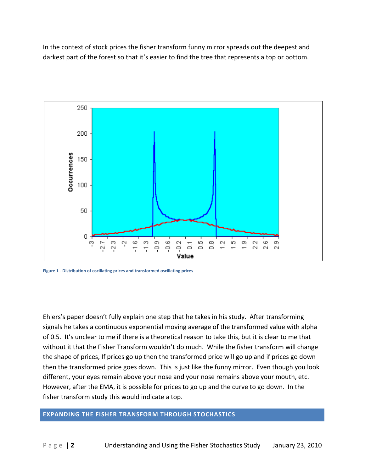In the context of stock prices the fisher transform funny mirror spreads out the deepest and darkest part of the forest so that it's easier to find the tree that represents a top or bottom.



**Figure 1 - Distribution of oscillating prices and transformed oscillating prices**

Ehlers's paper doesn't fully explain one step that he takes in his study. After transforming signals he takes a continuous exponential moving average of the transformed value with alpha of 0.5. It's unclear to me if there is a theoretical reason to take this, but it is clear to me that without it that the Fisher Transform wouldn't do much. While the fisher transform will change the shape of prices, If prices go up then the transformed price will go up and if prices go down then the transformed price goes down. This is just like the funny mirror. Even though you look different, your eyes remain above your nose and your nose remains above your mouth, etc. However, after the EMA, it is possible for prices to go up and the curve to go down. In the fisher transform study this would indicate a top.

## **EXPANDING THE FISHER TRANSFORM THROUGH STOCHASTICS**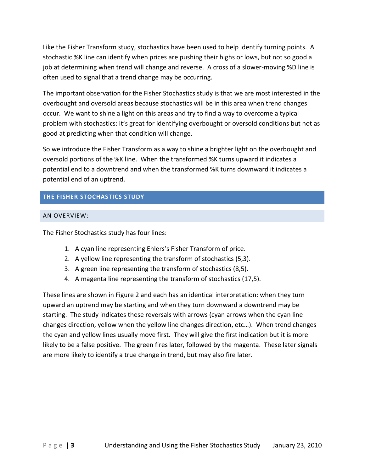Like the Fisher Transform study, stochastics have been used to help identify turning points. A stochastic %K line can identify when prices are pushing their highs or lows, but not so good a job at determining when trend will change and reverse. A cross of a slower-moving %D line is often used to signal that a trend change may be occurring.

The important observation for the Fisher Stochastics study is that we are most interested in the overbought and oversold areas because stochastics will be in this area when trend changes occur. We want to shine a light on this areas and try to find a way to overcome a typical problem with stochastics: it's great for identifying overbought or oversold conditions but not as good at predicting when that condition will change.

So we introduce the Fisher Transform as a way to shine a brighter light on the overbought and oversold portions of the %K line. When the transformed %K turns upward it indicates a potential end to a downtrend and when the transformed %K turns downward it indicates a potential end of an uptrend.

# **THE FISHER STOCHASTICS STUDY**

# AN OVERVIEW:

The Fisher Stochastics study has four lines:

- 1. A cyan line representing Ehlers's Fisher Transform of price.
- 2. A yellow line representing the transform of stochastics (5,3).
- 3. A green line representing the transform of stochastics (8,5).
- 4. A magenta line representing the transform of stochastics (17,5).

These lines are shown in Figure 2 and each has an identical interpretation: when they turn upward an uptrend may be starting and when they turn downward a downtrend may be starting. The study indicates these reversals with arrows (cyan arrows when the cyan line changes direction, yellow when the yellow line changes direction, etc…). When trend changes the cyan and yellow lines usually move first. They will give the first indication but it is more likely to be a false positive. The green fires later, followed by the magenta. These later signals are more likely to identify a true change in trend, but may also fire later.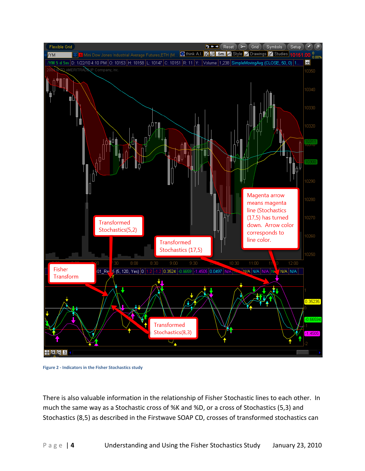

**Figure 2 - Indicators in the Fisher Stochastics study**

There is also valuable information in the relationship of Fisher Stochastic lines to each other. In much the same way as a Stochastic cross of %K and %D, or a cross of Stochastics (5,3) and Stochastics (8,5) as described in the Firstwave SOAP CD, crosses of transformed stochastics can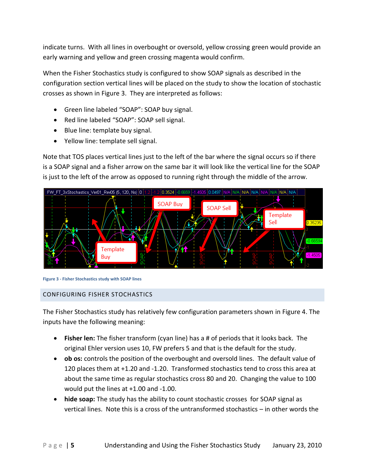indicate turns. With all lines in overbought or oversold, yellow crossing green would provide an early warning and yellow and green crossing magenta would confirm.

When the Fisher Stochastics study is configured to show SOAP signals as described in the configuration section vertical lines will be placed on the study to show the location of stochastic crosses as shown in Figure 3. They are interpreted as follows:

- Green line labeled "SOAP": SOAP buy signal.
- Red line labeled "SOAP": SOAP sell signal.
- Blue line: template buy signal.
- Yellow line: template sell signal.

Note that TOS places vertical lines just to the left of the bar where the signal occurs so if there is a SOAP signal and a fisher arrow on the same bar it will look like the vertical line for the SOAP is just to the left of the arrow as opposed to running right through the middle of the arrow.



**Figure 3 - Fisher Stochastics study with SOAP lines**

# CONFIGURING FISHER STOCHASTICS

The Fisher Stochastics study has relatively few configuration parameters shown in Figure 4. The inputs have the following meaning:

- **Fisher len:** The fisher transform (cyan line) has a # of periods that it looks back. The original Ehler version uses 10, FW prefers 5 and that is the default for the study.
- **ob os:** controls the position of the overbought and oversold lines. The default value of 120 places them at +1.20 and -1.20. Transformed stochastics tend to cross this area at about the same time as regular stochastics cross 80 and 20. Changing the value to 100 would put the lines at +1.00 and -1.00.
- **hide soap:** The study has the ability to count stochastic crosses for SOAP signal as vertical lines. Note this is a cross of the untransformed stochastics – in other words the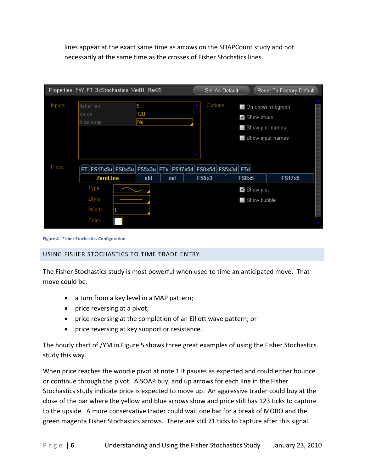lines appear at the exact same time as arrows on the SOAPCount study and not necessarily at the same time as the crosses of Fisher Stochstics lines.

|         | Properties: FW_FT_3xStochastics_Ver01_Rev05  |  |     |           |              | Set As Default |                                                      | Reset To Factory Default                                               |   |
|---------|----------------------------------------------|--|-----|-----------|--------------|----------------|------------------------------------------------------|------------------------------------------------------------------------|---|
| Inputs: | fisher len<br>5<br>ob os<br>No.<br>hide soap |  | 120 |           |              | Options:       |                                                      | On upper subgraph<br>Show study<br>Show plot names<br>Show input names |   |
| Plots:  | <b>FT</b>                                    |  |     |           |              |                | [FS17x5u FS8x5u FS5x3u FTu FS17x5d FS8x5d FS5x3d FTd |                                                                        |   |
|         | ZeroLine                                     |  | obl | osl       | <b>FS5x3</b> |                | <b>FS8x5</b>                                         | <b>FS17x5</b>                                                          |   |
|         | Type:<br>Style:                              |  |     | Show plot |              |                |                                                      |                                                                        |   |
|         |                                              |  |     |           | Show bubble  |                |                                                      |                                                                        |   |
|         | Width:                                       |  |     |           |              |                |                                                      |                                                                        | 篾 |
|         | Color:                                       |  |     |           |              |                |                                                      |                                                                        |   |

**Figure 4 - Fisher Stochastics Configuration**

# USING FISHER STOCHASTICS TO TIME TRADE ENTRY

The Fisher Stochastics study is most powerful when used to time an anticipated move. That move could be:

- a turn from a key level in a MAP pattern;
- price reversing at a pivot;
- price reversing at the completion of an Elliott wave pattern; or
- price reversing at key support or resistance.

The hourly chart of /YM in Figure 5 shows three great examples of using the Fisher Stochastics study this way.

When price reaches the woodie pivot at note 1 it pauses as expected and could either bounce or continue through the pivot. A SOAP buy, and up arrows for each line in the Fisher Stochastics study indicate price is expected to move up. An aggressive trader could buy at the close of the bar where the yellow and blue arrows show and price still has 123 ticks to capture to the upside. A more conservative trader could wait one bar for a break of MOBO and the green magenta Fisher Stochastics arrows. There are still 71 ticks to capture after this signal.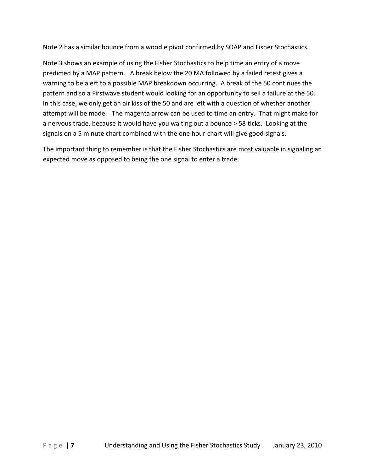Note 2 has a similar bounce from a woodie pivot confirmed by SOAP and Fisher Stochastics.

Note 3 shows an example of using the Fisher Stochastics to help time an entry of a move predicted by a MAP pattern. A break below the 20 MA followed by a failed retest gives a warning to be alert to a possible MAP breakdown occurring. A break of the 50 continues the pattern and so a Firstwave student would looking for an opportunity to sell a failure at the 50. In this case, we only get an air kiss of the 50 and are left with a question of whether another attempt will be made. The magenta arrow can be used to time an entry. That might make for a nervous trade, because it would have you waiting out a bounce > 58 ticks. Looking at the signals on a 5 minute chart combined with the one hour chart will give good signals.

The important thing to remember is that the Fisher Stochastics are most valuable in signaling an expected move as opposed to being the one signal to enter a trade.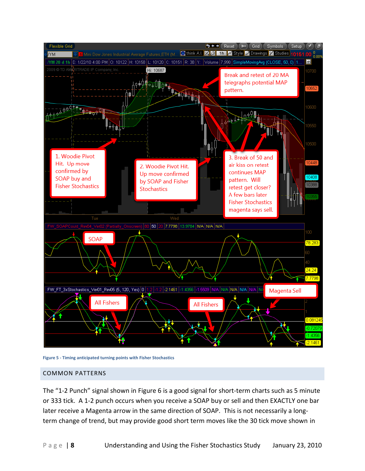

**Figure 5 - Timing anticipated turning points with Fisher Stochastics**

#### COMMON PATTERNS

The "1-2 Punch" signal shown in Figure 6 is a good signal for short-term charts such as 5 minute or 333 tick. A 1-2 punch occurs when you receive a SOAP buy or sell and then EXACTLY one bar later receive a Magenta arrow in the same direction of SOAP. This is not necessarily a longterm change of trend, but may provide good short term moves like the 30 tick move shown in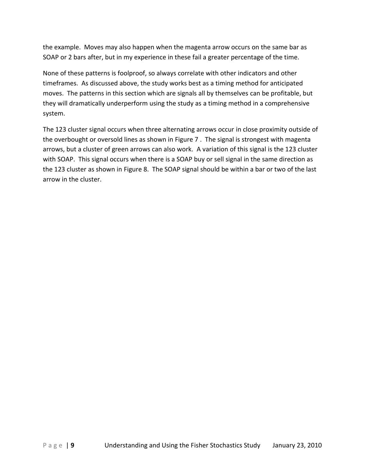the example. Moves may also happen when the magenta arrow occurs on the same bar as SOAP or 2 bars after, but in my experience in these fail a greater percentage of the time.

None of these patterns is foolproof, so always correlate with other indicators and other timeframes. As discussed above, the study works best as a timing method for anticipated moves. The patterns in this section which are signals all by themselves can be profitable, but they will dramatically underperform using the study as a timing method in a comprehensive system.

The 123 cluster signal occurs when three alternating arrows occur in close proximity outside of the overbought or oversold lines as shown in Figure 7 . The signal is strongest with magenta arrows, but a cluster of green arrows can also work. A variation of this signal is the 123 cluster with SOAP. This signal occurs when there is a SOAP buy or sell signal in the same direction as the 123 cluster as shown in Figure 8. The SOAP signal should be within a bar or two of the last arrow in the cluster.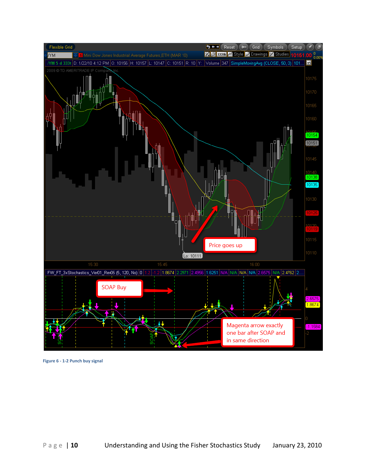

**Figure 6 - 1-2 Punch buy signal**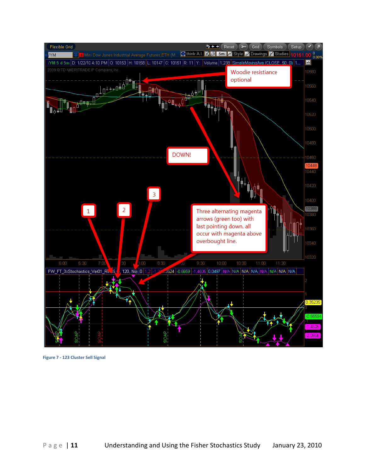

**Figure 7 - 123 Cluster Sell Signal**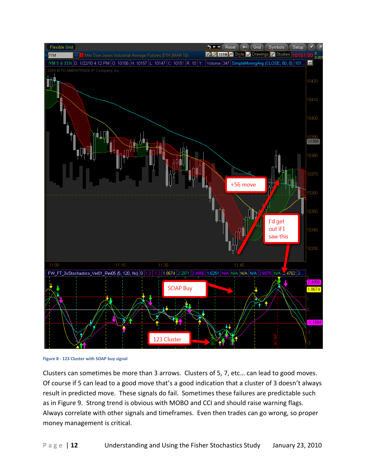

**Figure 8 - 123 Cluster with SOAP buy signal**

Clusters can sometimes be more than 3 arrows. Clusters of 5, 7, etc… can lead to good moves. Of course if 5 can lead to a good move that's a good indication that a cluster of 3 doesn't always result in predicted move. These signals do fail. Sometimes these failures are predictable such as in Figure 9. Strong trend is obvious with MOBO and CCI and should raise warning flags. Always correlate with other signals and timeframes. Even then trades can go wrong, so proper money management is critical.